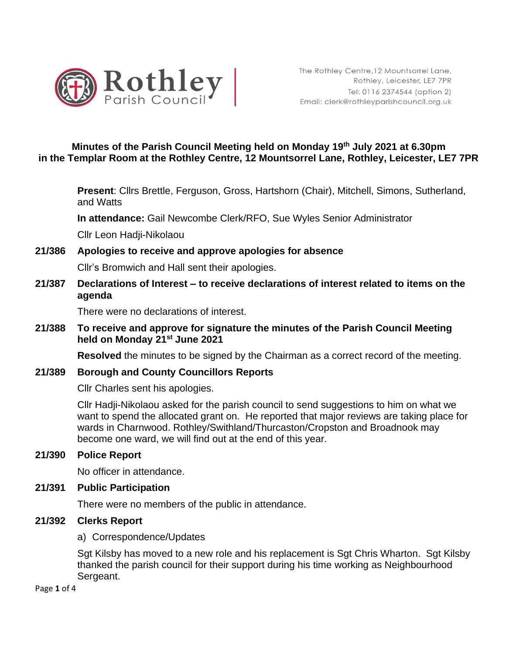

### **Minutes of the Parish Council Meeting held on Monday 19th July 2021 at 6.30pm in the Templar Room at the Rothley Centre, 12 Mountsorrel Lane, Rothley, Leicester, LE7 7PR**

**Present**: Cllrs Brettle, Ferguson, Gross, Hartshorn (Chair), Mitchell, Simons, Sutherland, and Watts

**In attendance:** Gail Newcombe Clerk/RFO, Sue Wyles Senior Administrator

Cllr Leon Hadji-Nikolaou

### **21/386 Apologies to receive and approve apologies for absence**

Cllr's Bromwich and Hall sent their apologies.

**21/387 Declarations of Interest – to receive declarations of interest related to items on the agenda**

There were no declarations of interest.

**21/388 To receive and approve for signature the minutes of the Parish Council Meeting held on Monday 21st June 2021** 

**Resolved** the minutes to be signed by the Chairman as a correct record of the meeting.

#### **21/389 Borough and County Councillors Reports**

Cllr Charles sent his apologies.

Cllr Hadji-Nikolaou asked for the parish council to send suggestions to him on what we want to spend the allocated grant on. He reported that major reviews are taking place for wards in Charnwood. Rothley/Swithland/Thurcaston/Cropston and Broadnook may become one ward, we will find out at the end of this year.

**21/390 Police Report**

No officer in attendance.

#### **21/391 Public Participation**

There were no members of the public in attendance.

#### **21/392 Clerks Report**

a) Correspondence/Updates

Sgt Kilsby has moved to a new role and his replacement is Sgt Chris Wharton. Sgt Kilsby thanked the parish council for their support during his time working as Neighbourhood Sergeant.

Page **1** of 4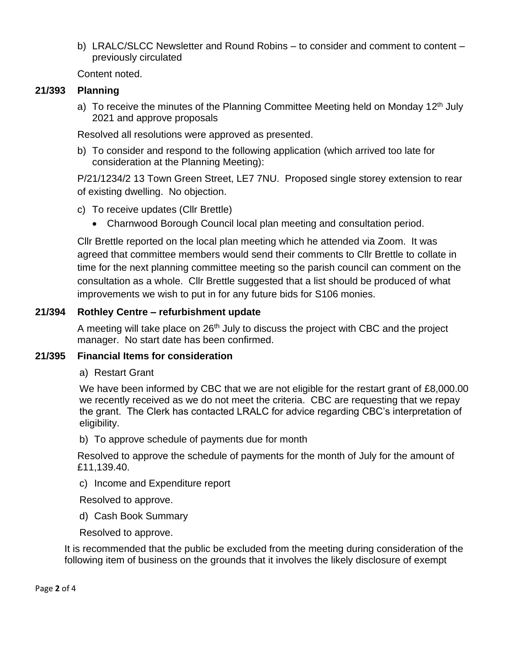b) LRALC/SLCC Newsletter and Round Robins – to consider and comment to content – previously circulated

Content noted.

## **21/393 Planning**

a) To receive the minutes of the Planning Committee Meeting held on Monday 12<sup>th</sup> July 2021 and approve proposals

Resolved all resolutions were approved as presented.

b) To consider and respond to the following application (which arrived too late for consideration at the Planning Meeting):

P/21/1234/2 13 Town Green Street, LE7 7NU. Proposed single storey extension to rear of existing dwelling. No objection.

- c) To receive updates (Cllr Brettle)
	- Charnwood Borough Council local plan meeting and consultation period.

Cllr Brettle reported on the local plan meeting which he attended via Zoom. It was agreed that committee members would send their comments to Cllr Brettle to collate in time for the next planning committee meeting so the parish council can comment on the consultation as a whole. Cllr Brettle suggested that a list should be produced of what improvements we wish to put in for any future bids for S106 monies.

## **21/394 Rothley Centre – refurbishment update**

A meeting will take place on  $26<sup>th</sup>$  July to discuss the project with CBC and the project manager. No start date has been confirmed.

## **21/395 Financial Items for consideration**

a) Restart Grant

We have been informed by CBC that we are not eligible for the restart grant of £8,000.00 we recently received as we do not meet the criteria. CBC are requesting that we repay the grant. The Clerk has contacted LRALC for advice regarding CBC's interpretation of eligibility.

b) To approve schedule of payments due for month

Resolved to approve the schedule of payments for the month of July for the amount of £11,139.40.

c) Income and Expenditure report

Resolved to approve.

d) Cash Book Summary

Resolved to approve.

It is recommended that the public be excluded from the meeting during consideration of the following item of business on the grounds that it involves the likely disclosure of exempt